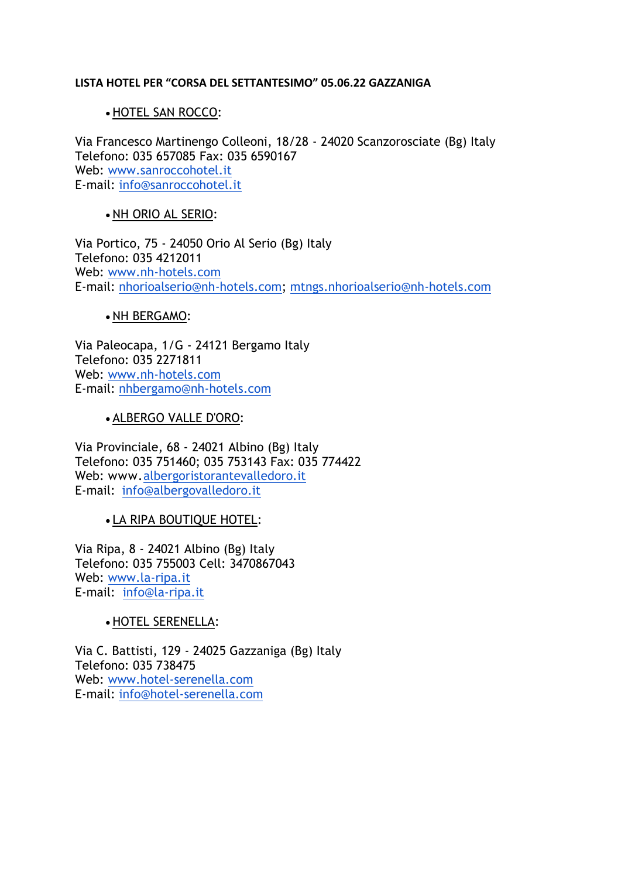#### **LISTA HOTEL PER "CORSA DEL SETTANTESIMO" 05.06.22 GAZZANIGA**

### • HOTEL SAN ROCCO:

Via Francesco Martinengo Colleoni, 18/28 - 24020 Scanzorosciate (Bg) Italy Telefono: 035 657085 Fax: 035 6590167 Web: [www.sanroccohotel.it](http://www.sanroccohotel.it/) E-mail: [info@sanroccohotel.it](mailto:info@sanroccohotel.it)

## • NH ORIO AL SERIO:

Via Portico, 75 - 24050 Orio Al Serio (Bg) Italy Telefono: 035 4212011 Web: [www.nh-hotels.com](http://www.nh-hotels.com/) E-mail: [nhorioalserio@nh-hotels.com;](mailto:nhorioalserio@nh-hotels.com) [mtngs.nhorioalserio@nh-hotels.com](mailto:mtngs.nhorioalserio@nh-hotels.com)

#### • NH BERGAMO:

Via Paleocapa, 1/G - 24121 Bergamo Italy Telefono: 035 2271811 Web: [www.nh-hotels.com](https://eur01.safelinks.protection.outlook.com/?url=http%3A%2F%2Fwww.nh-hotels.com%2F&data=04%7C01%7Cnhbergamo%40nh-hotels.com%7Cf0eb0e39b7f74e7bdbce08d8efbd67a6%7C8a91f668dc1c490389238e6618190d66%7C1%7C0%7C637522944966392957%7CUnknown%7CTWFpbGZsb3d8eyJWIjoiMC4wLjAwMDAiLCJQIjoiV2luMzIiLCJBTiI6Ik1haWwiLCJXVCI6Mn0%3D%7C1000&sdata=%2B5lMYqP3NiC7mzlk8y%2BFsdswC636FZE4ann9GPbgipM%3D&reserved=0) E-mail: [nhbergamo@nh-hotels.com](mailto:nhbergamo@nh-hotels.com)

#### • ALBERGO VALLE D'ORO:

Via Provinciale, 68 - 24021 Albino (Bg) Italy Telefono: 035 751460; 035 753143 Fax: 035 774422 Web: www[.albergoristorantevalledoro.it](http://albergoristorantevalledoro.it/) E-mail: [info@albergovalledoro.it](mailto:info@albergovalledoro.it)

### • LA RIPA BOUTIQUE HOTEL:

Via Ripa, 8 - 24021 Albino (Bg) Italy Telefono: 035 755003 Cell: 3470867043 Web: [www.la-ripa.it](http://www.la-ripa.it/) E-mail: [info@la-ripa.it](mailto:info@la-ripa.it)

### • HOTEL SERENELLA:

Via C. Battisti, 129 - 24025 Gazzaniga (Bg) Italy Telefono: 035 738475 Web: [www.hotel-serenella.com](http://www.hotel-serenella.com/) E-mail: [info@hotel-serenella.com](mailto:info@hotel-serenella.com)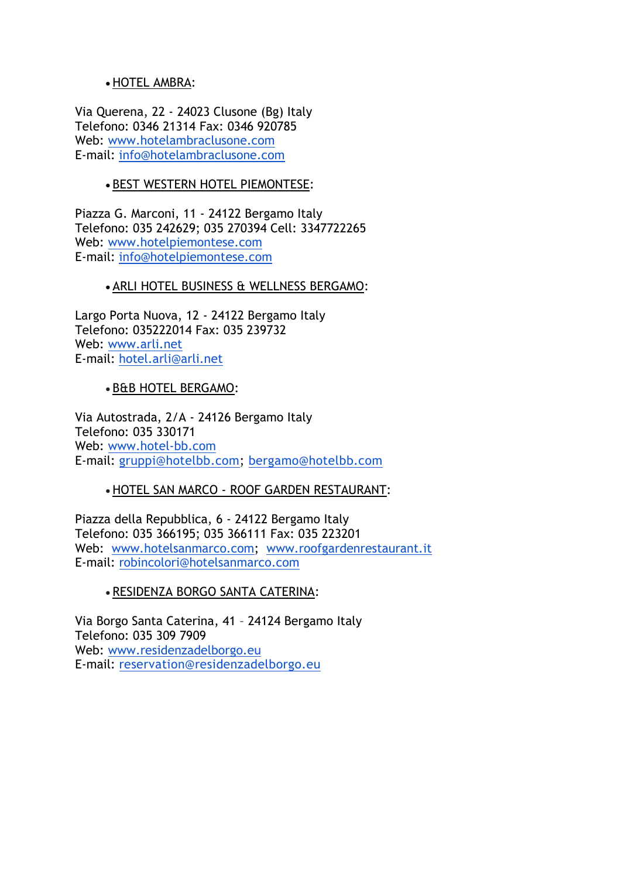## • HOTEL AMBRA:

Via Querena, 22 - 24023 Clusone (Bg) Italy Telefono: 0346 21314 Fax: 0346 920785 Web: [www.hotelambraclusone.com](http://track.smtp2go.net/click/1nCozu9EFLWLU6.8Qj1Ac3zqzxJ4/LBWieZVz/3/www.hotelambraclusone.com) E-mail: [info@hotelambraclusone.com](mailto:info@hotelambraclusone.com)

# • BEST WESTERN HOTEL PIEMONTESE:

Piazza G. Marconi, 11 - 24122 Bergamo Italy Telefono: 035 242629; 035 270394 Cell: 3347722265 Web: [www.hotelpiemontese.com](http://www.hotelpiemontese.com/) E-mail: [info@hotelpiemontese.com](mailto:info@hotelpiemontese.com)

### • ARLI HOTEL BUSINESS & WELLNESS BERGAMO:

Largo Porta Nuova, 12 - 24122 Bergamo Italy Telefono: 035222014 Fax: 035 239732 Web: [www.arli.net](http://www.arli.net/) E-mail: [hotel.arli@arli.net](mailto:hotel.arli@arli.net)

### • B&B HOTEL BERGAMO:

Via Autostrada, 2/A - 24126 Bergamo Italy Telefono: 035 330171 Web: [www.hotel-bb.com](http://www.hotel-bb.com/) E-mail: [gruppi@hotelbb.com;](mailto:gruppi@hotelbb.com) [bergamo@hotelbb.com](mailto:bergamo@hotelbb.com)

### • HOTEL SAN MARCO - ROOF GARDEN RESTAURANT:

Piazza della Repubblica, 6 - 24122 Bergamo Italy Telefono: 035 366195; 035 366111 Fax: 035 223201 Web: [www.hotelsanmarco.com;](http://www.hotelsanmarco.com/) [www.roofgardenrestaurant.it](http://www.roofgardenrestaurant.it/) E-mail: [robincolori@hotelsanmarco.com](mailto:robincolori@hotelsanmarco.com)

### • RESIDENZA BORGO SANTA CATERINA:

Via Borgo Santa Caterina, 41 – 24124 Bergamo Italy Telefono: 035 309 7909 Web: [www.residenzadelborgo.eu](http://www.residenzadelborgo.eu/) E-mail: [reservation@residenzadelborgo.eu](mailto:reservation@residenzadelborgo.eu)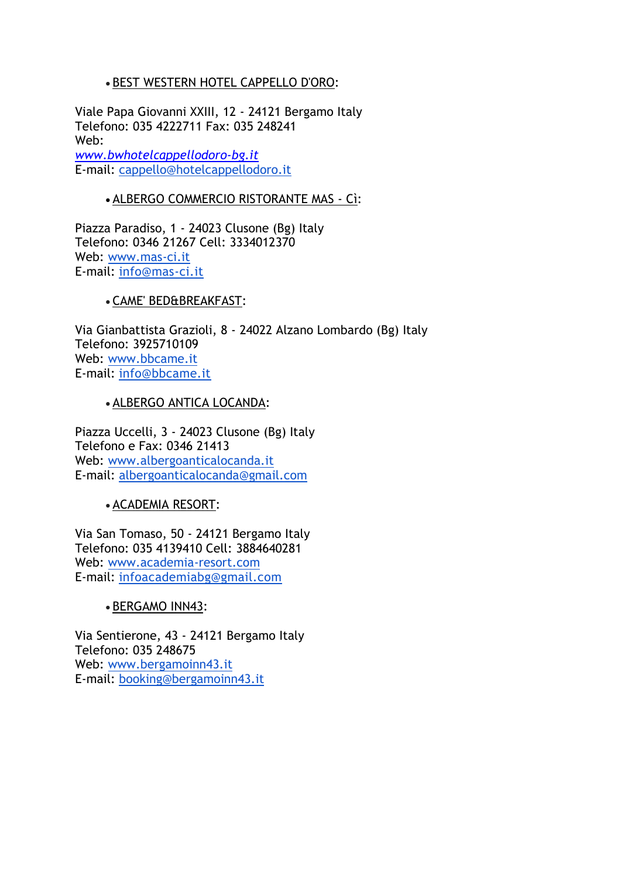# • BEST WESTERN HOTEL CAPPELLO D'ORO:

Viale Papa Giovanni XXIII, 12 - 24121 Bergamo Italy Telefono: 035 4222711 Fax: 035 248241 Web: *www.bwhotelcappellodoro-bg.it* E-mail: [cappello@hotelcappellodoro.it](mailto:cappello@hotelcappellodoro.it)

## • ALBERGO COMMERCIO RISTORANTE MAS - Cì:

Piazza Paradiso, 1 - 24023 Clusone (Bg) Italy Telefono: 0346 21267 Cell: 3334012370 Web: [www.mas-ci.it](http://www.mas-ci.it/) E-mail: [info@mas-ci.it](mailto:info@mas-ci.it)

# • CAME' BED&BREAKFAST:

Via Gianbattista Grazioli, 8 - 24022 Alzano Lombardo (Bg) Italy Telefono: 3925710109 Web: [www.bbcame.it](http://www.bbcame.it/) E-mail: [info@bbcame.it](mailto:info@bbcame.it)

### • ALBERGO ANTICA LOCANDA:

Piazza Uccelli, 3 - 24023 Clusone (Bg) Italy Telefono e Fax: 0346 21413 Web: [www.albergoanticalocanda.it](http://www.albergoanticalocanda.it/) E-mail: [albergoanticalocanda@gmail.com](mailto:albergoanticalocanda@gmail.com)

• ACADEMIA RESORT:

Via San Tomaso, 50 - 24121 Bergamo Italy Telefono: 035 4139410 Cell: 3884640281 Web: [www.academia-resort.com](http://www.academia-resort.com/) E-mail: [infoacademiabg@gmail.com](mailto:infoacademiabg@gmail.com)

### • BERGAMO INN43:

Via Sentierone, 43 - 24121 Bergamo Italy Telefono: 035 248675 Web: [www.bergamoinn43.it](http://www.bergamoinn43.it/) E-mail: [booking@bergamoinn43.it](mailto:booking@bergamoinn43.it)